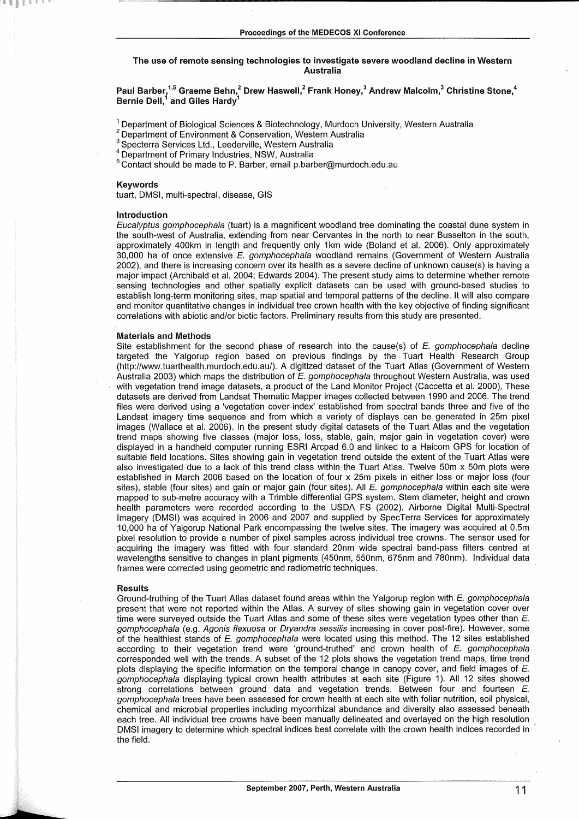## The use of remote sensing technologies to investigate severe woodland **decline** in Western Australia

Paul Barber,<sup>1,5</sup> Graeme Behn,<sup>2</sup> Drew Haswell,<sup>2</sup> Frank Honey,<sup>3</sup> Andrew Malcolm,<sup>3</sup> Christine Stone,<sup>4</sup><br>Bernie Dell <sup>1</sup> and Giles Hardy<sup>1</sup> Bernie Dell, $^{\rm 1}$  and Giles Hardy $^{\rm 1}$ 

1 Department of Biological Sciences & Biotechnology, Murdoch University, Western Australia <sup>2</sup> Department of Environment & Conservation, Western Australia 3 Specterra Services Ltd., Leederville, Western Australia 4 Depart

 $5$  Contact should be made to P. Barber, email p.barber@murdoch.edu.au

#### Keywords

tuart, DMSI, multi-spectral, disease, GIS

### Introduction

Eucalyptus gomphocephala (tuart) is a magnificent woodland tree dominating the coastal dune system in the south-west of Australia, extending from near Cervantes in the north to near Busselton in the south, approximately 400km in length and frequently only 1 km wide (Boland et al. 2006). Only approximately 30,000 ha of once extensive E. gomphocephala woodland remains (Government of Western Australia 2002), and there is increasing concern over its health as a severe decline of unknown cause(s) is having a major impact (Archibald et al. 2004; Edwards 2004 ). The present study aims to determine whether remote sensing technologies and other spatially explicit datasets can be used with ground-based studies to establish long-term monitoring sites, map spatial and temporal patterns of the decline. It will also compare and monitor quantitative changes in individual tree crown health with the key objective of finding significant correlations with abiotic and/or biotic factors. Preliminary results from this study are presented.

### Materials and Methods

Site establishment for the second phase of research into the cause(s) of E. gomphocephala decline targeted the Yalgorup region based on previous findings by the Tuart Health Research Group (http://www.tuarthealth.murdoch.edu.au/). A digitized dataset of the Tuart Atlas (Government of Western Australia 2003) which maps the distribution of E. gomphocephala throughout Western Australia, was used with vegetation trend image datasets, a product of the Land Monitor Project (Caccetta et al. 2000). These datasets are derived from Landsat Thematic Mapper images collected between 1990 and 2006. The trend files were derived using a 'vegetation cover-index' established from spectral bands three and five of the Landsat imagery time sequence and from which a variety of displays can be generated in 25m pixel images (Wallace et al. 2006). In the present study digital datasets of the Tuart Atlas and the vegetation trend maps showing five classes (major loss, loss, stable, gain, major gain in vegetation cover) were displayed in a handheld computer running ESRI Arcpad 6.0 and linked to a Haicom GPS for location of suitable field locations. Sites showing gain in vegetation trend outside the extent of the Tuart Atlas were also investigated due to a lack of this trend class within the Tuart Atlas. Twelve 50m x 50m plots were established in March 2006 based on the location of four x 25m pixels in either loss or major loss (four sites), stable (four sites) and gain or major gain (four sites). All E. gomphocephala within each site were mapped to sub-metre accuracy with a Trimble differential GPS system. Stem diameter, height and crown health parameters were recorded according to the USDA FS (2002). Airborne Digital Multi-Spectral Imagery (DMSI) was acquired in 2006 and 2007 and supplied by SpecTerra Services for approximately 10,000 ha of Yalgorup National Park encompassing the twelve sites. The imagery was acquired at 0.5m pixel resolution to provide a number of pixel samples across individual tree crowns. The sensor used for acquiring the imagery was fitted with four standard 20nm wide spectral band-pass filters centred at wavelengths sensitive to changes in plant pigments (450nm, 550nm, 675nm and 780nm). Individual data frames were corrected using geometric and radiometric techniques.

### Results

Ground-truthing of the Tuart Atlas dataset found areas within the Yalgorup region with E. gomphocephala present that were not reported within the Atlas. A survey of sites showing gain in vegetation cover over time were surveyed outside the Tuart Atlas and some of these sites were vegetation types other than E. gomphocephala (e.g. Agonis flexuosa or Dryandra sessilis increasing in cover post-fire). However, some of the healthiest stands of E. gomphocephala were located using this method. The 12 sites established according to their vegetation trend were 'ground-truthed' and crown health of  $E$ . gomphocephala corresponded well with the trends. A subset of the 12 plots shows the vegetation trend maps, time trend plots displaying the specific information on the temporal change in canopy cover, and field images of E. gomphocephala displaying typical crown health attributes at each site (Figure 1). All 12 sites showed strong correlations between ground data and vegetation trends. Between four and fourteen E. gomphocephala trees have been assessed for crown health at each site with foliar nutrition, soil physical, chemical and microbial properties including mycorrhizal abundance and diversity also assessed beneath each tree. All individual tree crowns have been manually delineated and overlayed on the high resolution DMSI imagery to determine which spectral indices best correlate with the crown health indices recorded in the field.